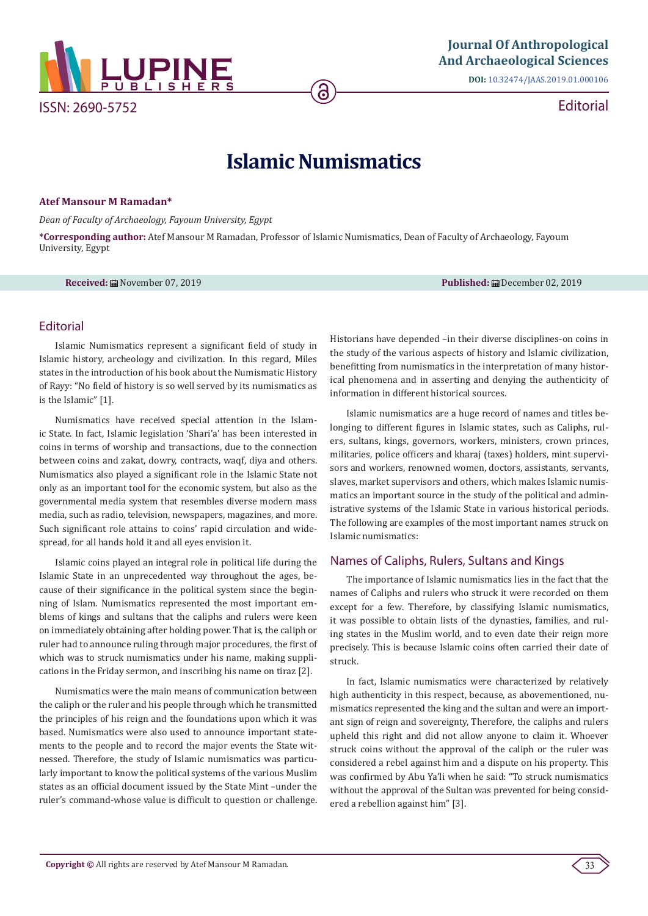

Editorial

# **Islamic Numismatics**

#### **Atef Mansour M Ramadan\***

*Dean of Faculty of Archaeology, Fayoum University, Egypt*

**\*Corresponding author:** Atef Mansour M Ramadan, Professor of Islamic Numismatics, Dean of Faculty of Archaeology, Fayoum University, Egypt

**Received:** November 07, 2019 **Published:** December 02, 2019

## Editorial

Islamic Numismatics represent a significant field of study in Islamic history, archeology and civilization. In this regard, Miles states in the introduction of his book about the Numismatic History of Rayy: "No field of history is so well served by its numismatics as is the Islamic" [1].

Numismatics have received special attention in the Islamic State. In fact, Islamic legislation 'Shari'a' has been interested in coins in terms of worship and transactions, due to the connection between coins and zakat, dowry, contracts, waqf, diya and others. Numismatics also played a significant role in the Islamic State not only as an important tool for the economic system, but also as the governmental media system that resembles diverse modern mass media, such as radio, television, newspapers, magazines, and more. Such significant role attains to coins' rapid circulation and widespread, for all hands hold it and all eyes envision it.

Islamic coins played an integral role in political life during the Islamic State in an unprecedented way throughout the ages, because of their significance in the political system since the beginning of Islam. Numismatics represented the most important emblems of kings and sultans that the caliphs and rulers were keen on immediately obtaining after holding power. That is, the caliph or ruler had to announce ruling through major procedures, the first of which was to struck numismatics under his name, making supplications in the Friday sermon, and inscribing his name on tiraz [2].

Numismatics were the main means of communication between the caliph or the ruler and his people through which he transmitted the principles of his reign and the foundations upon which it was based. Numismatics were also used to announce important statements to the people and to record the major events the State witnessed. Therefore, the study of Islamic numismatics was particularly important to know the political systems of the various Muslim states as an official document issued by the State Mint –under the ruler's command-whose value is difficult to question or challenge.

Historians have depended –in their diverse disciplines-on coins in the study of the various aspects of history and Islamic civilization, benefitting from numismatics in the interpretation of many historical phenomena and in asserting and denying the authenticity of information in different historical sources.

Islamic numismatics are a huge record of names and titles belonging to different figures in Islamic states, such as Caliphs, rulers, sultans, kings, governors, workers, ministers, crown princes, militaries, police officers and kharaj (taxes) holders, mint supervisors and workers, renowned women, doctors, assistants, servants, slaves, market supervisors and others, which makes Islamic numismatics an important source in the study of the political and administrative systems of the Islamic State in various historical periods. The following are examples of the most important names struck on Islamic numismatics:

## Names of Caliphs, Rulers, Sultans and Kings

The importance of Islamic numismatics lies in the fact that the names of Caliphs and rulers who struck it were recorded on them except for a few. Therefore, by classifying Islamic numismatics, it was possible to obtain lists of the dynasties, families, and ruling states in the Muslim world, and to even date their reign more precisely. This is because Islamic coins often carried their date of struck.

In fact, Islamic numismatics were characterized by relatively high authenticity in this respect, because, as abovementioned, numismatics represented the king and the sultan and were an important sign of reign and sovereignty, Therefore, the caliphs and rulers upheld this right and did not allow anyone to claim it. Whoever struck coins without the approval of the caliph or the ruler was considered a rebel against him and a dispute on his property. This was confirmed by Abu Ya'li when he said: "To struck numismatics without the approval of the Sultan was prevented for being considered a rebellion against him" [3].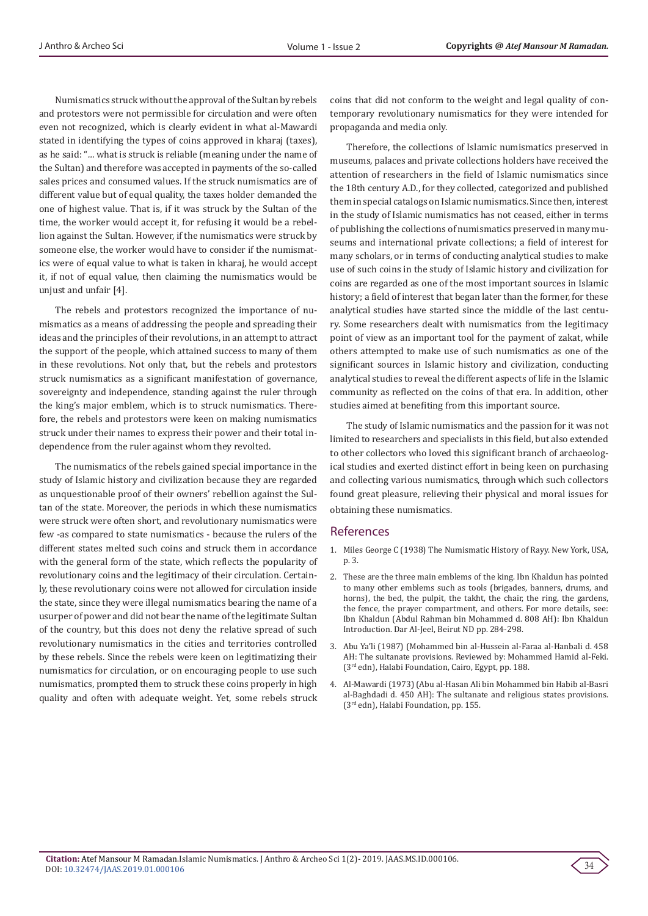Numismatics struck without the approval of the Sultan by rebels and protestors were not permissible for circulation and were often even not recognized, which is clearly evident in what al-Mawardi stated in identifying the types of coins approved in kharaj (taxes), as he said: "*…* what is struck is reliable (meaning under the name of the Sultan) and therefore was accepted in payments of the so-called sales prices and consumed values. If the struck numismatics are of different value but of equal quality, the taxes holder demanded the one of highest value. That is, if it was struck by the Sultan of the time, the worker would accept it, for refusing it would be a rebellion against the Sultan. However, if the numismatics were struck by someone else, the worker would have to consider if the numismatics were of equal value to what is taken in kharaj, he would accept it, if not of equal value, then claiming the numismatics would be unjust and unfair [4].

The rebels and protestors recognized the importance of numismatics as a means of addressing the people and spreading their ideas and the principles of their revolutions, in an attempt to attract the support of the people, which attained success to many of them in these revolutions. Not only that, but the rebels and protestors struck numismatics as a significant manifestation of governance, sovereignty and independence, standing against the ruler through the king's major emblem, which is to struck numismatics. Therefore, the rebels and protestors were keen on making numismatics struck under their names to express their power and their total independence from the ruler against whom they revolted.

The numismatics of the rebels gained special importance in the study of Islamic history and civilization because they are regarded as unquestionable proof of their owners' rebellion against the Sultan of the state. Moreover, the periods in which these numismatics were struck were often short, and revolutionary numismatics were few -as compared to state numismatics - because the rulers of the different states melted such coins and struck them in accordance with the general form of the state, which reflects the popularity of revolutionary coins and the legitimacy of their circulation. Certainly, these revolutionary coins were not allowed for circulation inside the state, since they were illegal numismatics bearing the name of a usurper of power and did not bear the name of the legitimate Sultan of the country, but this does not deny the relative spread of such revolutionary numismatics in the cities and territories controlled by these rebels. Since the rebels were keen on legitimatizing their numismatics for circulation, or on encouraging people to use such numismatics, prompted them to struck these coins properly in high quality and often with adequate weight. Yet, some rebels struck

coins that did not conform to the weight and legal quality of contemporary revolutionary numismatics for they were intended for propaganda and media only.

Therefore, the collections of Islamic numismatics preserved in museums, palaces and private collections holders have received the attention of researchers in the field of Islamic numismatics since the 18th century A.D., for they collected, categorized and published them in special catalogs on Islamic numismatics. Since then, interest in the study of Islamic numismatics has not ceased, either in terms of publishing the collections of numismatics preserved in many museums and international private collections; a field of interest for many scholars, or in terms of conducting analytical studies to make use of such coins in the study of Islamic history and civilization for coins are regarded as one of the most important sources in Islamic history; a field of interest that began later than the former, for these analytical studies have started since the middle of the last century. Some researchers dealt with numismatics from the legitimacy point of view as an important tool for the payment of zakat, while others attempted to make use of such numismatics as one of the significant sources in Islamic history and civilization, conducting analytical studies to reveal the different aspects of life in the Islamic community as reflected on the coins of that era. In addition, other studies aimed at benefiting from this important source.

The study of Islamic numismatics and the passion for it was not limited to researchers and specialists in this field, but also extended to other collectors who loved this significant branch of archaeological studies and exerted distinct effort in being keen on purchasing and collecting various numismatics, through which such collectors found great pleasure, relieving their physical and moral issues for obtaining these numismatics.

#### **References**

- 1. Miles George C (1938) The Numismatic History of Rayy. New York, USA, p. 3.
- 2. These are the three main emblems of the king. Ibn Khaldun has pointed to many other emblems such as tools (brigades, banners, drums, and horns), the bed, the pulpit, the takht, the chair, the ring, the gardens, the fence, the prayer compartment, and others. For more details, see: Ibn Khaldun (Abdul Rahman bin Mohammed d. 808 AH): Ibn Khaldun Introduction. Dar Al-Jeel, Beirut ND pp. 284-298.
- 3. Abu Ya'li (1987) (Mohammed bin al-Hussein al-Faraa al-Hanbali d. 458 AH: The sultanate provisions. Reviewed by: Mohammed Hamid al-Feki. (3rd edn), Halabi Foundation, Cairo, Egypt, pp. 188.
- 4. Al-Mawardi (1973) (Abu al-Hasan Ali bin Mohammed bin Habib al-Basri al-Baghdadi d. 450 AH): The sultanate and religious states provisions. (3rd edn), Halabi Foundation, pp. 155.